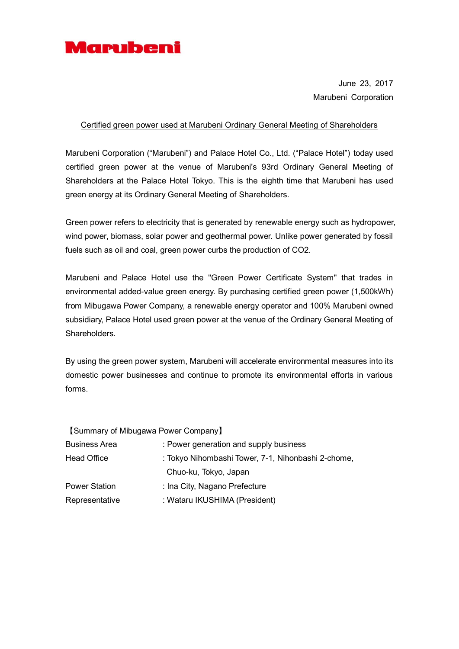

June 23, 2017 Marubeni Corporation

## Certified green power used at Marubeni Ordinary General Meeting of Shareholders

Marubeni Corporation ("Marubeni") and Palace Hotel Co., Ltd. ("Palace Hotel") today used certified green power at the venue of Marubeni's 93rd Ordinary General Meeting of Shareholders at the Palace Hotel Tokyo. This is the eighth time that Marubeni has used green energy at its Ordinary General Meeting of Shareholders.

Green power refers to electricity that is generated by renewable energy such as hydropower, wind power, biomass, solar power and geothermal power. Unlike power generated by fossil fuels such as oil and coal, green power curbs the production of CO2.

Marubeni and Palace Hotel use the "Green Power Certificate System" that trades in environmental added-value green energy. By purchasing certified green power (1,500kWh) from Mibugawa Power Company, a renewable energy operator and 100% Marubeni owned subsidiary, Palace Hotel used green power at the venue of the Ordinary General Meeting of Shareholders.

By using the green power system, Marubeni will accelerate environmental measures into its domestic power businesses and continue to promote its environmental efforts in various forms.

| [Summary of Mibugawa Power Company] |                                                    |
|-------------------------------------|----------------------------------------------------|
| <b>Business Area</b>                | : Power generation and supply business             |
| <b>Head Office</b>                  | : Tokyo Nihombashi Tower, 7-1, Nihonbashi 2-chome, |
|                                     | Chuo-ku, Tokyo, Japan                              |
| <b>Power Station</b>                | : Ina City, Nagano Prefecture                      |
| Representative                      | : Wataru IKUSHIMA (President)                      |